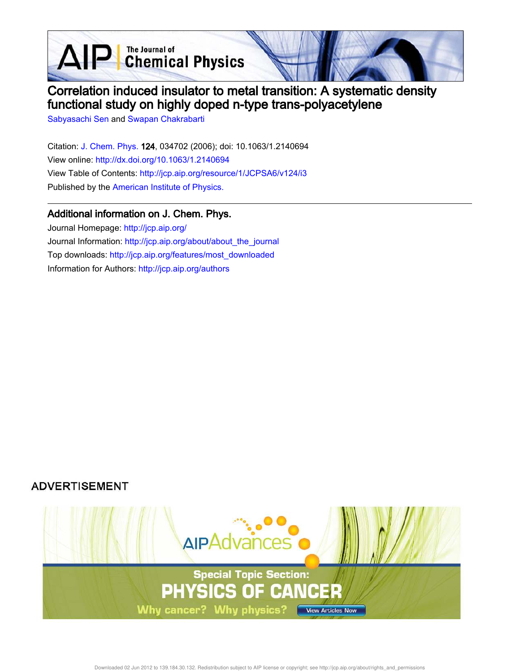**D** The Journal of<br> **Chemical Physics** 



# Correlation induced insulator to metal transition: A systematic density functional study on highly doped n-type trans-polyacetylene

Sabyasachi Sen and Swapan Chakrabarti

 $\Delta$ 

Citation: J. Chem. Phys. 124, 034702 (2006); doi: 10.1063/1.2140694 View online: http://dx.doi.org/10.1063/1.2140694 View Table of Contents: http://jcp.aip.org/resource/1/JCPSA6/v124/i3 Published by the American Institute of Physics.

# Additional information on J. Chem. Phys.

Journal Homepage: http://jcp.aip.org/ Journal Information: http://jcp.aip.org/about/about\_the\_journal Top downloads: http://jcp.aip.org/features/most\_downloaded Information for Authors: http://jcp.aip.org/authors

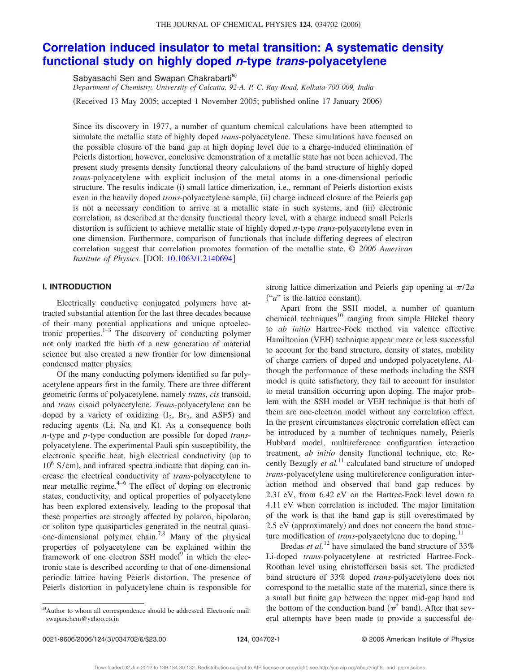### THE JOURNAL OF CHEMICAL PHYSICS 124, 034702 (2006)

# **Correlation induced insulator to metal transition: A systematic density functional study on highly doped <sup>n</sup>-type trans-polyacetylene**

Sabyasachi Sen and Swapan Chakrabarti<sup>a)</sup>

*Department of Chemistry, University of Calcutta, 92-A. P. C. Ray Road, Kolkata-700 009, India* (Received 13 May 2005; accepted 1 November 2005; published online 17 January 2006)

Since its discovery in 1977, a number of quantum chemical calculations have been attempted to simulate the metallic state of highly doped *trans*-polyacetylene. These simulations have focused on the possible closure of the band gap at high doping level due to a charge-induced elimination of Peierls distortion; however, conclusive demonstration of a metallic state has not been achieved. The present study presents density functional theory calculations of the band structure of highly doped *trans*-polyacetylene with explicit inclusion of the metal atoms in a one-dimensional periodic structure. The results indicate (i) small lattice dimerization, i.e., remnant of Peierls distortion exists even in the heavily doped *trans*-polyacetylene sample, (ii) charge induced closure of the Peierls gap is not a necessary condition to arrive at a metallic state in such systems, and (iii) electronic correlation, as described at the density functional theory level, with a charge induced small Peierls distortion is sufficient to achieve metallic state of highly doped *n*-type *trans*-polyacetylene even in one dimension. Furthermore, comparison of functionals that include differing degrees of electron correlation suggest that correlation promotes formation of the metallic state. © *2006 American Institute of Physics.* [DOI: 10.1063/1.2140694]

#### **I. INTRODUCTION**

Electrically conductive conjugated polymers have attracted substantial attention for the last three decades because of their many potential applications and unique optoelectronic properties. $1-3$  The discovery of conducting polymer not only marked the birth of a new generation of material science but also created a new frontier for low dimensional condensed matter physics.

Of the many conducting polymers identified so far polyacetylene appears first in the family. There are three different geometric forms of polyacetylene, namely *trans*, *cis* transoid, and *trans* cisoid polyacetylene. *Trans*-polyacetylene can be doped by a variety of oxidizing  $(I_2, Br_2, and ASF5)$  and reducing agents (Li, Na and K). As a consequence both *n*-type and *p*-type conduction are possible for doped *trans*polyacetylene. The experimental Pauli spin susceptibility, the electronic specific heat, high electrical conductivity (up to 10<sup>6</sup> S/cm), and infrared spectra indicate that doping can increase the electrical conductivity of *trans*-polyacetylene to near metallic regime.4–6 The effect of doping on electronic states, conductivity, and optical properties of polyacetylene has been explored extensively, leading to the proposal that these properties are strongly affected by polaron, bipolaron, or soliton type quasiparticles generated in the neutral quasione-dimensional polymer chain.<sup>7,8</sup> Many of the physical properties of polyacetylene can be explained within the framework of one electron SSH model $\int_0^{\infty}$  in which the electronic state is described according to that of one-dimensional periodic lattice having Peierls distortion. The presence of Peierls distortion in polyacetylene chain is responsible for

strong lattice dimerization and Peierls gap opening at  $\pi/2a$  $("a"$  is the lattice constant).

Apart from the SSH model, a number of quantum chemical techniques<sup>10</sup> ranging from simple Hückel theory to *ab initio* Hartree-Fock method via valence effective Hamiltonian (VEH) technique appear more or less successful to account for the band structure, density of states, mobility of charge carriers of doped and undoped polyacetylene. Although the performance of these methods including the SSH model is quite satisfactory, they fail to account for insulator to metal transition occurring upon doping. The major problem with the SSH model or VEH technique is that both of them are one-electron model without any correlation effect. In the present circumstances electronic correlation effect can be introduced by a number of techniques namely, Peierls Hubbard model, multireference configuration interaction treatment, *ab initio* density functional technique, etc. Recently Bezugly *et al.*<sup>11</sup> calculated band structure of undoped *trans*-polyacetylene using multireference configuration interaction method and observed that band gap reduces by 2.31 eV, from 6.42 eV on the Hartree-Fock level down to 4.11 eV when correlation is included. The major limitation of the work is that the band gap is still overestimated by 2.5 eV (approximately) and does not concern the band structure modification of *trans*-polyacetylene due to doping.<sup>11</sup>

Bredas *et al.*<sup>12</sup> have simulated the band structure of 33% Li-doped *trans*-polyacetylene at restricted Hartree-Fock-Roothan level using christoffersen basis set. The predicted band structure of 33% doped *trans*-polyacetylene does not correspond to the metallic state of the material, since there is a small but finite gap between the upper mid-gap band and the bottom of the conduction band  $(\pi^*$  band). After that several attempts have been made to provide a successful de-

a)Author to whom all correspondence should be addressed. Electronic mail: swapanchem@yahoo.co.in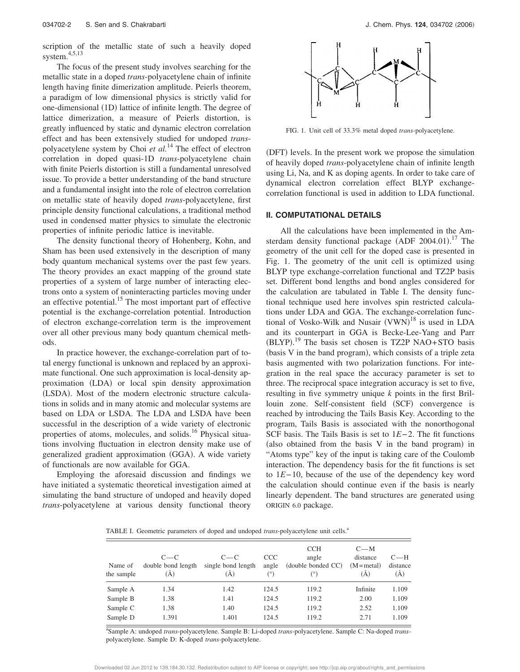scription of the metallic state of such a heavily doped system.4,5,13

The focus of the present study involves searching for the metallic state in a doped *trans*-polyacetylene chain of infinite length having finite dimerization amplitude. Peierls theorem, a paradigm of low dimensional physics is strictly valid for one-dimensional (1D) lattice of infinite length. The degree of lattice dimerization, a measure of Peierls distortion, is greatly influenced by static and dynamic electron correlation effect and has been extensively studied for undoped *trans*polyacetylene system by Choi *et al.*<sup>14</sup> The effect of electron correlation in doped quasi-1D *trans*-polyacetylene chain with finite Peierls distortion is still a fundamental unresolved issue. To provide a better understanding of the band structure and a fundamental insight into the role of electron correlation on metallic state of heavily doped *trans*-polyacetylene, first principle density functional calculations, a traditional method used in condensed matter physics to simulate the electronic properties of infinite periodic lattice is inevitable.

The density functional theory of Hohenberg, Kohn, and Sham has been used extensively in the description of many body quantum mechanical systems over the past few years. The theory provides an exact mapping of the ground state properties of a system of large number of interacting electrons onto a system of noninteracting particles moving under an effective potential.<sup>15</sup> The most important part of effective potential is the exchange-correlation potential. Introduction of electron exchange-correlation term is the improvement over all other previous many body quantum chemical methods.

In practice however, the exchange-correlation part of total energy functional is unknown and replaced by an approximate functional. One such approximation is local-density approximation (LDA) or local spin density approximation (LSDA). Most of the modern electronic structure calculations in solids and in many atomic and molecular systems are based on LDA or LSDA. The LDA and LSDA have been successful in the description of a wide variety of electronic properties of atoms, molecules, and solids.<sup>16</sup> Physical situations involving fluctuation in electron density make use of generalized gradient approximation (GGA). A wide variety of functionals are now available for GGA.

Employing the aforesaid discussion and findings we have initiated a systematic theoretical investigation aimed at simulating the band structure of undoped and heavily doped *trans*-polyacetylene at various density functional theory



FIG. 1. Unit cell of 33.3% metal doped *trans*-polyacetylene.

(DFT) levels. In the present work we propose the simulation of heavily doped *trans*-polyacetylene chain of infinite length using Li, Na, and K as doping agents. In order to take care of dynamical electron correlation effect BLYP exchangecorrelation functional is used in addition to LDA functional.

### **II. COMPUTATIONAL DETAILS**

All the calculations have been implemented in the Amsterdam density functional package  $(ADF 2004.01).$ <sup>17</sup> The geometry of the unit cell for the doped case is presented in Fig. 1. The geometry of the unit cell is optimized using BLYP type exchange-correlation functional and TZ2P basis set. Different bond lengths and bond angles considered for the calculation are tabulated in Table I. The density functional technique used here involves spin restricted calculations under LDA and GGA. The exchange-correlation functional of Vosko-Wilk and Nusair  $(VWN)^{18}$  is used in LDA and its counterpart in GGA is Becke-Lee-Yang and Parr (BLYP).<sup>19</sup> The basis set chosen is TZ2P NAO+STO basis (basis V in the band program), which consists of a triple zeta basis augmented with two polarization functions. For integration in the real space the accuracy parameter is set to three. The reciprocal space integration accuracy is set to five, resulting in five symmetry unique *k* points in the first Brillouin zone. Self-consistent field (SCF) convergence is reached by introducing the Tails Basis Key. According to the program, Tails Basis is associated with the nonorthogonal SCF basis. The Tails Basis is set to 1*E*−2. The fit functions (also obtained from the basis V in the band program) in "Atoms type" key of the input is taking care of the Coulomb interaction. The dependency basis for the fit functions is set to 1*E*−10, because of the use of the dependency key word the calculation should continue even if the basis is nearly linearly dependent. The band structures are generated using ORIGIN 6.0 package.

TABLE I. Geometric parameters of doped and undoped *trans*-polyacetylene unit cells.<sup>a</sup>

| Name of<br>the sample | $C-C$<br>double bond length<br>(Ă) | $C-C$<br>single bond length<br>(Ă) | <b>CCC</b><br>angle<br>(°) | <b>CCH</b><br>angle<br>(double bonded CC) | $C - M$<br>distance<br>$(M = metal)$<br>(Ă) | $C-H$<br>distance<br>(A) |
|-----------------------|------------------------------------|------------------------------------|----------------------------|-------------------------------------------|---------------------------------------------|--------------------------|
| Sample A              | 1.34                               | 1.42                               | 124.5                      | 119.2                                     | Infinite                                    | 1.109                    |
| Sample B              | 1.38                               | 1.41                               | 124.5                      | 119.2                                     | 2.00                                        | 1.109                    |
| Sample C              | 1.38                               | 1.40                               | 124.5                      | 119.2                                     | 2.52                                        | 1.109                    |
| Sample D              | 1.391                              | 1.401                              | 124.5                      | 119.2                                     | 2.71                                        | 1.109                    |

a Sample A: undoped *trans*-polyacetylene. Sample B: Li-doped *trans*-polyacetylene. Sample C: Na-doped *trans*polyacetylene. Sample D: K-doped *trans*-polyacetylene.

Downloaded 02 Jun 2012 to 139.184.30.132. Redistribution subject to AIP license or copyright; see http://jcp.aip.org/about/rights\_and\_permissions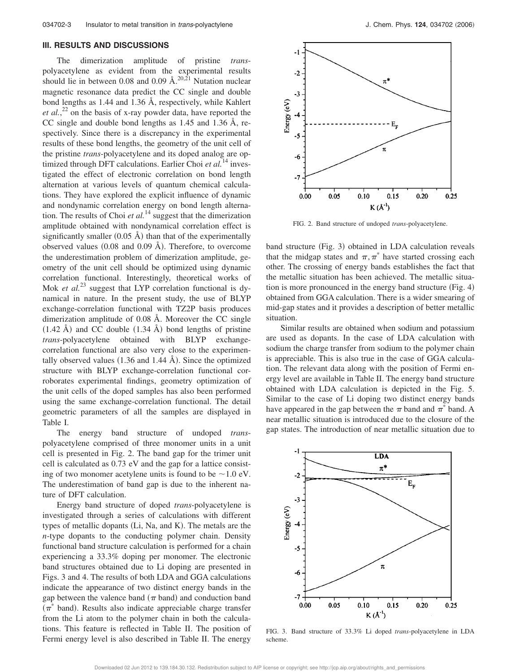#### **III. RESULTS AND DISCUSSIONS**

The dimerization amplitude of pristine *trans*polyacetylene as evident from the experimental results should lie in between 0.08 and 0.09  $\AA$ <sup>20,21</sup> Nutation nuclear magnetic resonance data predict the CC single and double bond lengths as 1.44 and 1.36 Å, respectively, while Kahlert *et al.*,<sup>22</sup> on the basis of x-ray powder data, have reported the CC single and double bond lengths as 1.45 and 1.36 Å, respectively. Since there is a discrepancy in the experimental results of these bond lengths, the geometry of the unit cell of the pristine *trans*-polyacetylene and its doped analog are optimized through DFT calculations. Earlier Choi *et al.*<sup>14</sup> investigated the effect of electronic correlation on bond length alternation at various levels of quantum chemical calculations. They have explored the explicit influence of dynamic and nondynamic correlation energy on bond length alternation. The results of Choi *et al.*<sup>14</sup> suggest that the dimerization amplitude obtained with nondynamical correlation effect is significantly smaller  $(0.05 \text{ Å})$  than that of the experimentally observed values  $(0.08$  and  $0.09$  Å). Therefore, to overcome the underestimation problem of dimerization amplitude, geometry of the unit cell should be optimized using dynamic correlation functional. Interestingly, theoretical works of Mok *et al.*<sup>23</sup> suggest that LYP correlation functional is dynamical in nature. In the present study, the use of BLYP exchange-correlation functional with TZ2P basis produces dimerization amplitude of 0.08 Å. Moreover the CC single  $(1.42 \text{ Å})$  and CC double  $(1.34 \text{ Å})$  bond lengths of pristine *trans*-polyacetylene obtained with BLYP exchangecorrelation functional are also very close to the experimentally observed values  $(1.36$  and  $1.44$  Å). Since the optimized structure with BLYP exchange-correlation functional corroborates experimental findings, geometry optimization of the unit cells of the doped samples has also been performed using the same exchange-correlation functional. The detail geometric parameters of all the samples are displayed in Table I.

The energy band structure of undoped *trans*polyacetylene comprised of three monomer units in a unit cell is presented in Fig. 2. The band gap for the trimer unit cell is calculated as 0.73 eV and the gap for a lattice consisting of two monomer acetylene units is found to be  $\sim$  1.0 eV. The underestimation of band gap is due to the inherent nature of DFT calculation.

Energy band structure of doped *trans*-polyacetylene is investigated through a series of calculations with different types of metallic dopants (Li, Na, and K). The metals are the *n*-type dopants to the conducting polymer chain. Density functional band structure calculation is performed for a chain experiencing a 33.3% doping per monomer. The electronic band structures obtained due to Li doping are presented in Figs. 3 and 4. The results of both LDA and GGA calculations indicate the appearance of two distinct energy bands in the gap between the valence band  $(\pi$  band) and conduction band  $(\pi^*$  band). Results also indicate appreciable charge transfer from the Li atom to the polymer chain in both the calculations. This feature is reflected in Table II. The position of Fermi energy level is also described in Table II. The energy



FIG. 2. Band structure of undoped *trans*-polyacetylene.

band structure (Fig. 3) obtained in LDA calculation reveals that the midgap states and  $\pi, \pi^*$  have started crossing each other. The crossing of energy bands establishes the fact that the metallic situation has been achieved. The metallic situation is more pronounced in the energy band structure  $(Fig. 4)$ obtained from GGA calculation. There is a wider smearing of mid-gap states and it provides a description of better metallic situation.

Similar results are obtained when sodium and potassium are used as dopants. In the case of LDA calculation with sodium the charge transfer from sodium to the polymer chain is appreciable. This is also true in the case of GGA calculation. The relevant data along with the position of Fermi energy level are available in Table II. The energy band structure obtained with LDA calculation is depicted in the Fig. 5. Similar to the case of Li doping two distinct energy bands have appeared in the gap between the  $\pi$  band and  $\pi^*$  band. A near metallic situation is introduced due to the closure of the gap states. The introduction of near metallic situation due to



FIG. 3. Band structure of 33.3% Li doped *trans*-polyacetylene in LDA scheme.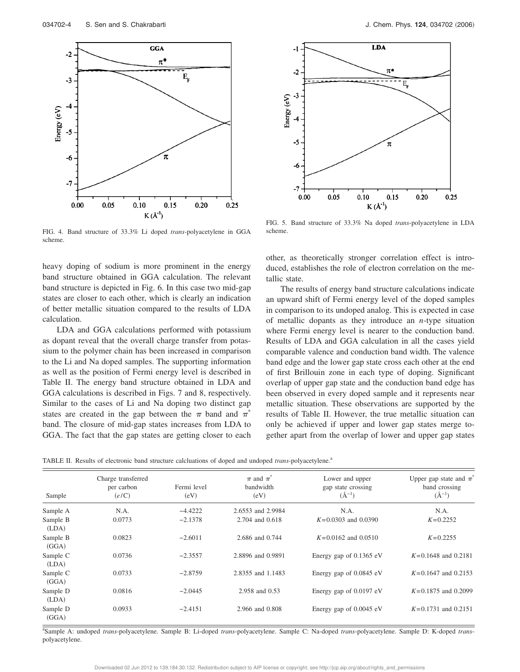

FIG. 4. Band structure of 33.3% Li doped *trans*-polyacetylene in GGA scheme.

heavy doping of sodium is more prominent in the energy band structure obtained in GGA calculation. The relevant band structure is depicted in Fig. 6. In this case two mid-gap states are closer to each other, which is clearly an indication of better metallic situation compared to the results of LDA calculation.

LDA and GGA calculations performed with potassium as dopant reveal that the overall charge transfer from potassium to the polymer chain has been increased in comparison to the Li and Na doped samples. The supporting information as well as the position of Fermi energy level is described in Table II. The energy band structure obtained in LDA and GGA calculations is described in Figs. 7 and 8, respectively. Similar to the cases of Li and Na doping two distinct gap states are created in the gap between the  $\pi$  band and  $\pi^*$ band. The closure of mid-gap states increases from LDA to GGA. The fact that the gap states are getting closer to each



FIG. 5. Band structure of 33.3% Na doped *trans*-polyacetylene in LDA scheme.

other, as theoretically stronger correlation effect is introduced, establishes the role of electron correlation on the metallic state.

The results of energy band structure calculations indicate an upward shift of Fermi energy level of the doped samples in comparison to its undoped analog. This is expected in case of metallic dopants as they introduce an *n*-type situation where Fermi energy level is nearer to the conduction band. Results of LDA and GGA calculation in all the cases yield comparable valence and conduction band width. The valence band edge and the lower gap state cross each other at the end of first Brillouin zone in each type of doping. Significant overlap of upper gap state and the conduction band edge has been observed in every doped sample and it represents near metallic situation. These observations are supported by the results of Table II. However, the true metallic situation can only be achieved if upper and lower gap states merge together apart from the overlap of lower and upper gap states

|  |  |  |  | TABLE II. Results of electronic band structure calcluations of doped and undoped trans-polyacetylene. <sup>a</sup> |  |
|--|--|--|--|--------------------------------------------------------------------------------------------------------------------|--|
|  |  |  |  |                                                                                                                    |  |

| Sample            | Charge transferred<br>per carbon<br>(e/C) | Fermi level<br>(eV) | $\pi$ and $\pi^*$<br>bandwidth<br>(eV) | Lower and upper<br>gap state crossing<br>$(\AA^{-1})$ | Upper gap state and $\pi^*$<br>band crossing<br>$(A^{-1})$ |
|-------------------|-------------------------------------------|---------------------|----------------------------------------|-------------------------------------------------------|------------------------------------------------------------|
| Sample A          | N.A.                                      | $-4.4222$           | 2.6553 and 2.9984                      | N.A.                                                  | N.A.                                                       |
| Sample B<br>(LDA) | 0.0773                                    | $-2.1378$           | 2.704 and 0.618                        | $K=0.0303$ and 0.0390                                 | $K=0.2252$                                                 |
| Sample B<br>(GGA) | 0.0823                                    | $-2.6011$           | 2.686 and 0.744                        | $K=0.0162$ and 0.0510                                 | $K = 0.2255$                                               |
| Sample C<br>(LDA) | 0.0736                                    | $-2.3557$           | 2.8896 and 0.9891                      | Energy gap of 0.1365 eV                               | $K=0.1648$ and 0.2181                                      |
| Sample C<br>(GGA) | 0.0733                                    | $-2.8759$           | 2.8355 and 1.1483                      | Energy gap of 0.0845 eV                               | $K=0.1647$ and 0.2153                                      |
| Sample D<br>(LDA) | 0.0816                                    | $-2.0445$           | 2.958 and 0.53                         | Energy gap of $0.0197$ eV                             | $K=0.1875$ and 0.2099                                      |
| Sample D<br>(GGA) | 0.0933                                    | $-2.4151$           | 2.966 and 0.808                        | Energy gap of 0.0045 eV                               | $K=0.1731$ and 0.2151                                      |

a Sample A: undoped *trans*-polyacetylene. Sample B: Li-doped *trans*-polyacetylene. Sample C: Na-doped *trans*-polyacetylene. Sample D: K-doped *trans*polyacetylene.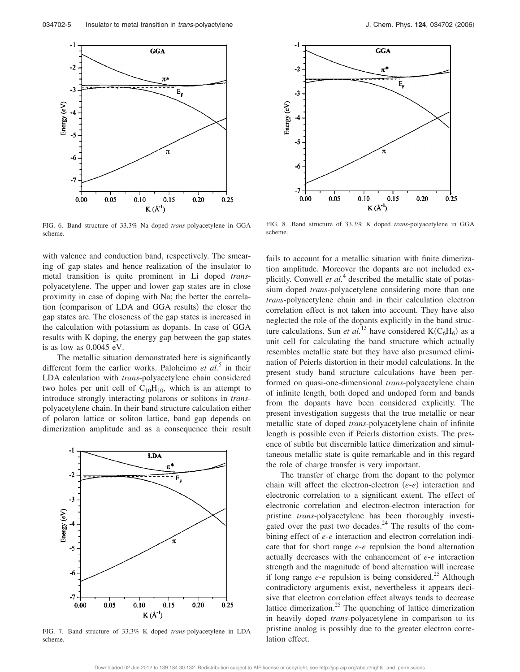

FIG. 6. Band structure of 33.3% Na doped *trans*-polyacetylene in GGA scheme.

with valence and conduction band, respectively. The smearing of gap states and hence realization of the insulator to metal transition is quite prominent in Li doped *trans*polyacetylene. The upper and lower gap states are in close proximity in case of doping with Na; the better the correlation (comparison of LDA and GGA results) the closer the gap states are. The closeness of the gap states is increased in the calculation with potassium as dopants. In case of GGA results with K doping, the energy gap between the gap states is as low as 0.0045 eV.

The metallic situation demonstrated here is significantly different form the earlier works. Paloheimo *et al.*<sup>5</sup> in their LDA calculation with *trans*-polyacetylene chain considered two holes per unit cell of  $C_{10}H_{10}$ , which is an attempt to introduce strongly interacting polarons or solitons in *trans*polyacetylene chain. In their band structure calculation either of polaron lattice or soliton lattice, band gap depends on dimerization amplitude and as a consequence their result



FIG. 7. Band structure of 33.3% K doped *trans*-polyacetylene in LDA scheme.



FIG. 8. Band structure of 33.3% K doped *trans*-polyacetylene in GGA scheme.

fails to account for a metallic situation with finite dimerization amplitude. Moreover the dopants are not included explicitly. Conwell *et al.*<sup>4</sup> described the metallic state of potassium doped *trans*-polyacetylene considering more than one *trans*-polyacetylene chain and in their calculation electron correlation effect is not taken into account. They have also neglected the role of the dopants explicitly in the band structure calculations. Sun *et al.*<sup>13</sup> have considered  $K(C_6H_6)$  as a unit cell for calculating the band structure which actually resembles metallic state but they have also presumed elimination of Peierls distortion in their model calculations. In the present study band structure calculations have been performed on quasi-one-dimensional *trans*-polyacetylene chain of infinite length, both doped and undoped form and bands from the dopants have been considered explicitly. The present investigation suggests that the true metallic or near metallic state of doped *trans*-polyacetylene chain of infinite length is possible even if Peierls distortion exists. The presence of subtle but discernible lattice dimerization and simultaneous metallic state is quite remarkable and in this regard the role of charge transfer is very important.

The transfer of charge from the dopant to the polymer chain will affect the electron-electron (e-e) interaction and electronic correlation to a significant extent. The effect of electronic correlation and electron-electron interaction for pristine *trans*-polyacetylene has been thoroughly investigated over the past two decades. $^{24}$  The results of the combining effect of *e*-*e* interaction and electron correlation indicate that for short range *e*-*e* repulsion the bond alternation actually decreases with the enhancement of *e*-*e* interaction strength and the magnitude of bond alternation will increase if long range  $e$ - $e$  repulsion is being considered.<sup>25</sup> Although contradictory arguments exist, nevertheless it appears decisive that electron correlation effect always tends to decrease lattice dimerization.<sup>25</sup> The quenching of lattice dimerization in heavily doped *trans*-polyacetylene in comparison to its pristine analog is possibly due to the greater electron correlation effect.